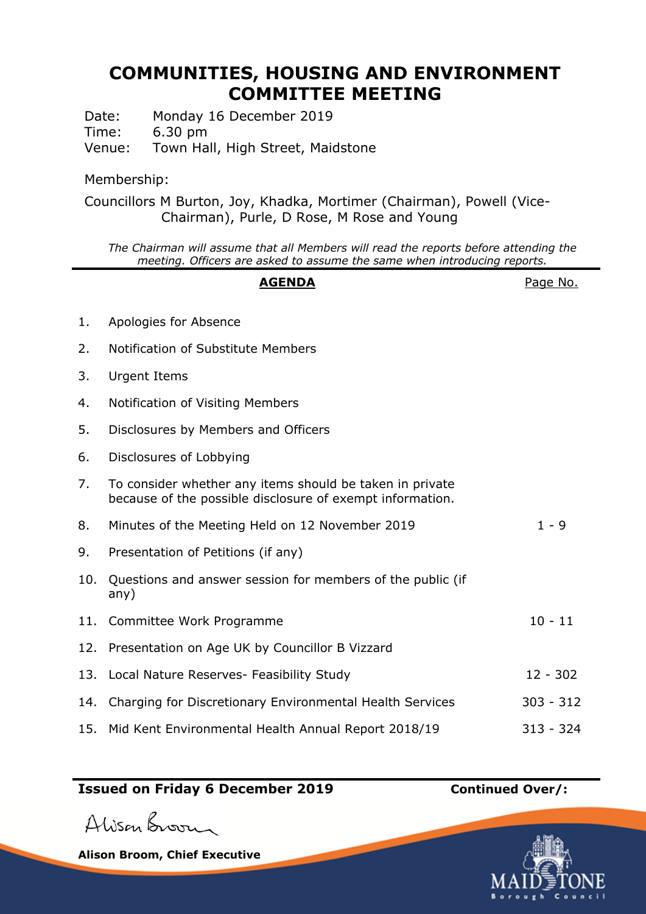## **COMMUNITIES, HOUSING AND ENVIRONMENT COMMITTEE MEETING**

Date: Monday 16 December 2019 Time: 6.30 pm

Venue: Town Hall, High Street, Maidstone

## Membership:

Councillors M Burton, Joy, Khadka, Mortimer (Chairman), Powell (Vice-Chairman), Purle, D Rose, M Rose and Young

*The Chairman will assume that all Members will read the reports before attending the meeting. Officers are asked to assume the same when introducing reports.*

|     | <b>AGENDA</b>                                                                                                         | Page No.    |
|-----|-----------------------------------------------------------------------------------------------------------------------|-------------|
| 1.  | Apologies for Absence                                                                                                 |             |
| 2.  | Notification of Substitute Members                                                                                    |             |
| 3.  | <b>Urgent Items</b>                                                                                                   |             |
| 4.  | Notification of Visiting Members                                                                                      |             |
| 5.  | Disclosures by Members and Officers                                                                                   |             |
| 6.  | Disclosures of Lobbying                                                                                               |             |
| 7.  | To consider whether any items should be taken in private<br>because of the possible disclosure of exempt information. |             |
| 8.  | Minutes of the Meeting Held on 12 November 2019                                                                       | $1 - 9$     |
| 9.  | Presentation of Petitions (if any)                                                                                    |             |
| 10. | Questions and answer session for members of the public (if<br>any)                                                    |             |
| 11. | Committee Work Programme                                                                                              | $10 - 11$   |
| 12. | Presentation on Age UK by Councillor B Vizzard                                                                        |             |
|     | 13. Local Nature Reserves- Feasibility Study                                                                          | $12 - 302$  |
| 14. | Charging for Discretionary Environmental Health Services                                                              | $303 - 312$ |
| 15. | Mid Kent Environmental Health Annual Report 2018/19                                                                   | $313 - 324$ |

## **Issued on Friday 6 December 2019 Continued Over/:**

Alison Broom

**Alison Broom, Chief Executive**